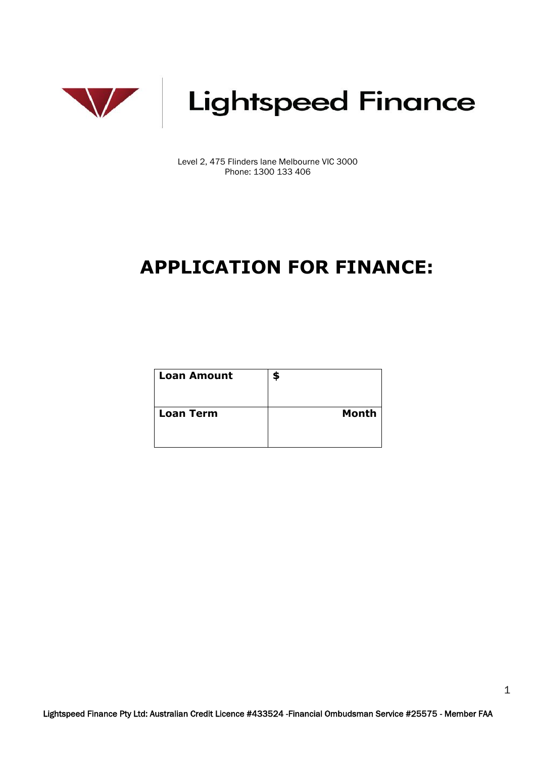

Level 2, 475 Flinders lane Melbourne VIC 3000 Phone: 1300 133 406

## **APPLICATION FOR FINANCE:**

| <b>Loan Amount</b> | \$           |
|--------------------|--------------|
| <b>Loan Term</b>   | <b>Month</b> |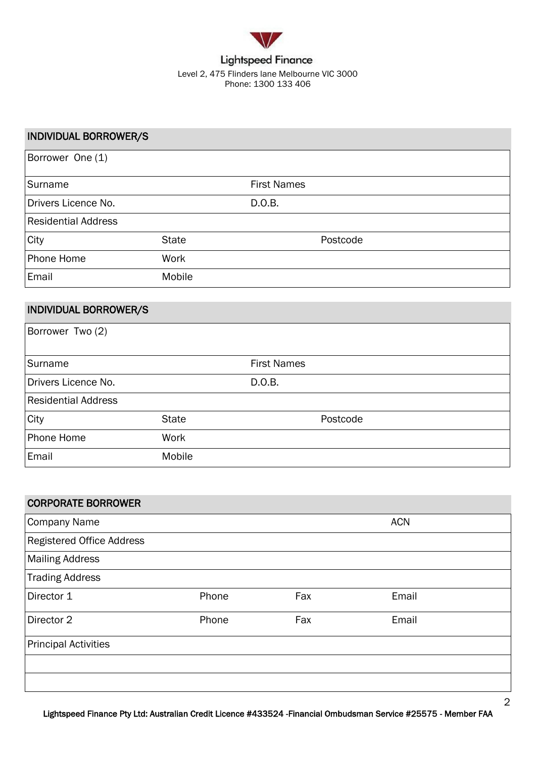

### INDIVIDUAL BORROWER/S Borrower One (1) Surname **First Names** Drivers Licence No. 2008. D.O.B. Residential Address City **State** State **Postcode** Phone Home **Work** Email Mobile

### INDIVIDUAL BORROWER/S

| Borrower Two (2)           |              |                    |          |
|----------------------------|--------------|--------------------|----------|
| Surname                    |              | <b>First Names</b> |          |
| Drivers Licence No.        |              | D.O.B.             |          |
| <b>Residential Address</b> |              |                    |          |
| City                       | <b>State</b> |                    | Postcode |
| Phone Home                 | Work         |                    |          |
| Email                      | Mobile       |                    |          |

| <b>CORPORATE BORROWER</b>   |       |     |            |  |
|-----------------------------|-------|-----|------------|--|
| <b>Company Name</b>         |       |     | <b>ACN</b> |  |
| Registered Office Address   |       |     |            |  |
| <b>Mailing Address</b>      |       |     |            |  |
| <b>Trading Address</b>      |       |     |            |  |
| Director 1                  | Phone | Fax | Email      |  |
| Director 2                  | Phone | Fax | Email      |  |
| <b>Principal Activities</b> |       |     |            |  |
|                             |       |     |            |  |
|                             |       |     |            |  |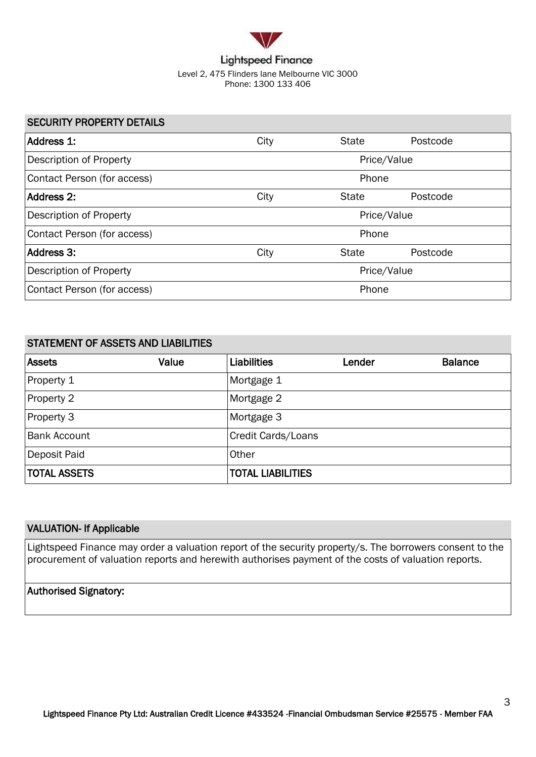

### SECURITY PROPERTY DETAILS

| Address 1:                  | City | <b>State</b> | Postcode |  |
|-----------------------------|------|--------------|----------|--|
| Description of Property     |      | Price/Value  |          |  |
| Contact Person (for access) |      | Phone        |          |  |
| Address 2:                  | City | <b>State</b> | Postcode |  |
| Description of Property     |      | Price/Value  |          |  |
| Contact Person (for access) |      | Phone        |          |  |
| Address 3:                  | City | <b>State</b> | Postcode |  |
| Description of Property     |      | Price/Value  |          |  |
| Contact Person (for access) |      | Phone        |          |  |

| <b>STATEMENT OF ASSETS AND LIABILITIES</b> |       |                          |        |                |  |
|--------------------------------------------|-------|--------------------------|--------|----------------|--|
| <b>Assets</b>                              | Value | Liabilities              | Lender | <b>Balance</b> |  |
| Property 1                                 |       | Mortgage 1               |        |                |  |
| Property 2                                 |       | Mortgage 2               |        |                |  |
| Property 3                                 |       | Mortgage 3               |        |                |  |
| <b>Bank Account</b>                        |       | Credit Cards/Loans       |        |                |  |
| Deposit Paid                               |       | Other                    |        |                |  |
| <b>TOTAL ASSETS</b>                        |       | <b>TOTAL LIABILITIES</b> |        |                |  |

### VALUATION- If Applicable

Lightspeed Finance may order a valuation report of the security property/s. The borrowers consent to the procurement of valuation reports and herewith authorises payment of the costs of valuation reports.

### Authorised Signatory: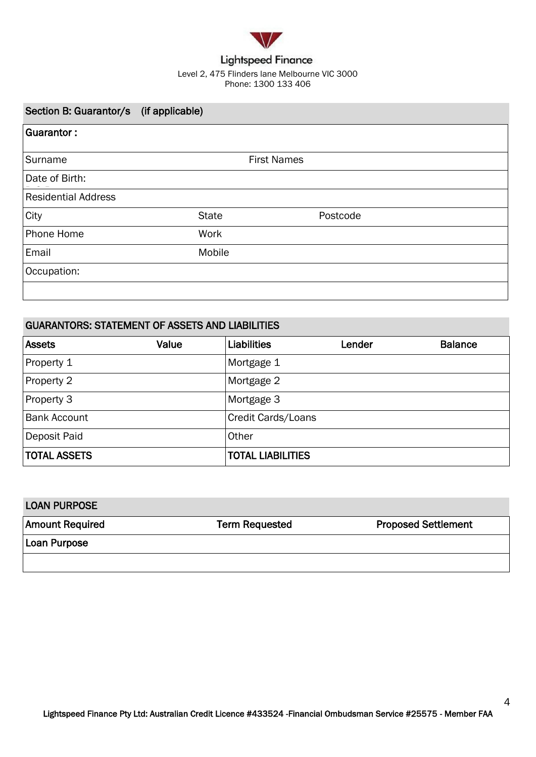

### Level 2, 475 Flinders lane Melbourne VIC 3000 Phone: 1300 133 406

| Section B: Guarantor/s (if applicable) |              |                    |          |  |
|----------------------------------------|--------------|--------------------|----------|--|
| <b>Guarantor:</b>                      |              |                    |          |  |
| Surname                                |              | <b>First Names</b> |          |  |
| Date of Birth:                         |              |                    |          |  |
| <b>Residential Address</b>             |              |                    |          |  |
| City                                   | <b>State</b> |                    | Postcode |  |
| Phone Home                             | Work         |                    |          |  |
| Email                                  | Mobile       |                    |          |  |
| Occupation:                            |              |                    |          |  |
|                                        |              |                    |          |  |

### GUARANTORS: STATEMENT OF ASSETS AND LIABILITIES

| <b>Assets</b>       | Value | Liabilities               | Lender | <b>Balance</b> |
|---------------------|-------|---------------------------|--------|----------------|
| Property 1          |       | Mortgage 1                |        |                |
| Property 2          |       | Mortgage 2                |        |                |
| Property 3          |       | Mortgage 3                |        |                |
| <b>Bank Account</b> |       | <b>Credit Cards/Loans</b> |        |                |
| Deposit Paid        |       | Other                     |        |                |
| <b>TOTAL ASSETS</b> |       | <b>TOTAL LIABILITIES</b>  |        |                |

| <b>LOAN PURPOSE</b>    |                       |                            |
|------------------------|-----------------------|----------------------------|
| <b>Amount Required</b> | <b>Term Requested</b> | <b>Proposed Settlement</b> |
| Loan Purpose           |                       |                            |
|                        |                       |                            |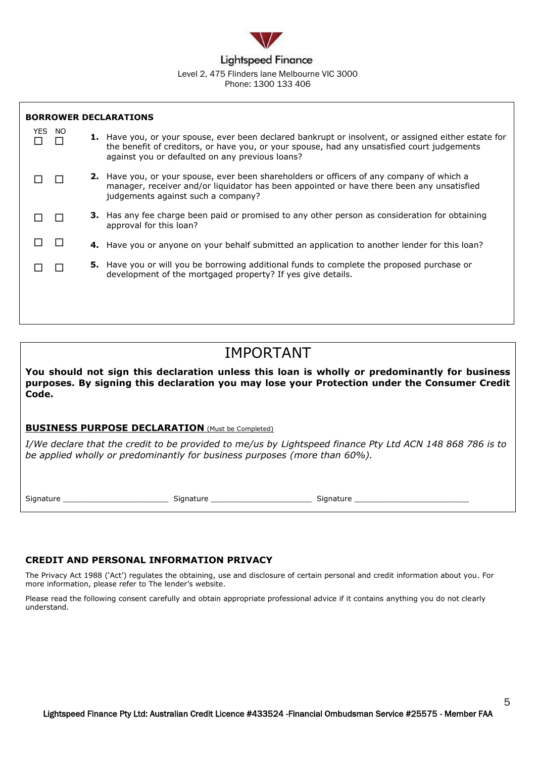

### Level 2, 475 Flinders lane Melbourne VIC 3000 Phone: 1300 133 406

| <b>BORROWER DECLARATIONS</b> |                                                                                                                                                                                                                                                               |
|------------------------------|---------------------------------------------------------------------------------------------------------------------------------------------------------------------------------------------------------------------------------------------------------------|
| YES NO                       | <b>1.</b> Have you, or your spouse, ever been declared bankrupt or insolvent, or assigned either estate for<br>the benefit of creditors, or have you, or your spouse, had any unsatisfied court judgements<br>against you or defaulted on any previous loans? |
|                              | <b>2.</b> Have you, or your spouse, ever been shareholders or officers of any company of which a<br>manager, receiver and/or liquidator has been appointed or have there been any unsatisfied<br>judgements against such a company?                           |
|                              | <b>3.</b> Has any fee charge been paid or promised to any other person as consideration for obtaining<br>approval for this loan?                                                                                                                              |
|                              | 4. Have you or anyone on your behalf submitted an application to another lender for this loan?                                                                                                                                                                |
|                              | <b>5.</b> Have you or will you be borrowing additional funds to complete the proposed purchase or<br>development of the mortgaged property? If yes give details.                                                                                              |
|                              |                                                                                                                                                                                                                                                               |

### IMPORTANT

**You should not sign this declaration unless this loan is wholly or predominantly for business purposes. By signing this declaration you may lose your Protection under the Consumer Credit Code.**

### **BUSINESS PURPOSE DECLARATION** (Must be Completed)

*I/We declare that the credit to be provided to me/us by Lightspeed finance Pty Ltd ACN 148 868 786 is to be applied wholly or predominantly for business purposes (more than 60%).*

Signature \_\_\_\_\_\_\_\_\_\_\_\_\_\_\_\_\_\_\_\_\_\_\_\_\_\_\_\_\_\_\_\_ Signature \_\_\_\_\_\_\_\_\_\_\_\_\_\_\_\_\_\_\_\_\_\_\_\_\_\_\_ Signature \_\_\_\_\_\_\_\_\_\_\_\_\_\_\_\_\_\_\_

### **CREDIT AND PERSONAL INFORMATION PRIVACY**

The Privacy Act 1988 ('Act') regulates the obtaining, use and disclosure of certain personal and credit information about you. For more information, please refer to The lender's website.

Please read the following consent carefully and obtain appropriate professional advice if it contains anything you do not clearly understand.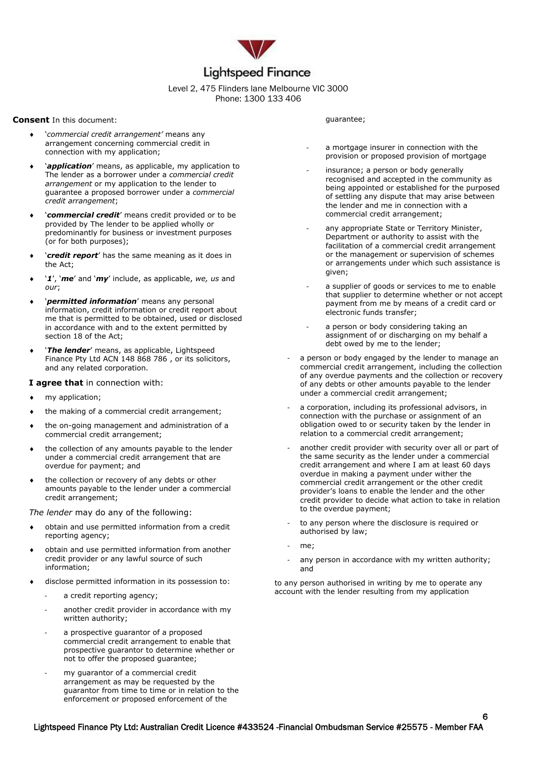

#### Level 2, 475 Flinders lane Melbourne VIC 3000 Phone: 1300 133 406

#### **Consent** In this document:

- '*commercial credit arrangement'* means any arrangement concerning commercial credit in connection with my application;
- '*application*' means, as applicable, my application to The lender as a borrower under a *commercial credit arrangement* or my application to the lender to guarantee a proposed borrower under a *commercial credit arrangement*;
- '*commercial credit*' means credit provided or to be provided by The lender to be applied wholly or predominantly for business or investment purposes (or for both purposes);
- '*credit report*' has the same meaning as it does in the Act;
- '*1*', '*me*' and '*my*' include, as applicable, *we, us* and *our*;
- '*permitted information*' means any personal information, credit information or credit report about me that is permitted to be obtained, used or disclosed in accordance with and to the extent permitted by section 18 of the Act;
- '*The lender*' means, as applicable, Lightspeed Finance Pty Ltd ACN 148 868 786 , or its solicitors, and any related corporation.

### **I agree that** in connection with:

- my application;
- the making of a commercial credit arrangement;
- the on-going management and administration of a commercial credit arrangement;
- the collection of any amounts payable to the lender under a commercial credit arrangement that are overdue for payment; and
- the collection or recovery of any debts or other amounts payable to the lender under a commercial credit arrangement;

#### *The lender* may do any of the following:

- obtain and use permitted information from a credit reporting agency;
- obtain and use permitted information from another credit provider or any lawful source of such information;
- disclose permitted information in its possession to:
	- a credit reporting agency;
	- another credit provider in accordance with my written authority;
	- a prospective quarantor of a proposed commercial credit arrangement to enable that prospective guarantor to determine whether or not to offer the proposed guarantee;
	- my guarantor of a commercial credit arrangement as may be requested by the guarantor from time to time or in relation to the enforcement or proposed enforcement of the

#### guarantee;

- a mortgage insurer in connection with the provision or proposed provision of mortgage
- insurance; a person or body generally recognised and accepted in the community as being appointed or established for the purposed of settling any dispute that may arise between the lender and me in connection with a commercial credit arrangement;
- any appropriate State or Territory Minister, Department or authority to assist with the facilitation of a commercial credit arrangement or the management or supervision of schemes or arrangements under which such assistance is given;
- a supplier of goods or services to me to enable that supplier to determine whether or not accept payment from me by means of a credit card or electronic funds transfer;
- a person or body considering taking an assignment of or discharging on my behalf a debt owed by me to the lender;
- a person or body engaged by the lender to manage an commercial credit arrangement, including the collection of any overdue payments and the collection or recovery of any debts or other amounts payable to the lender under a commercial credit arrangement;
- a corporation, including its professional advisors, in connection with the purchase or assignment of an obligation owed to or security taken by the lender in relation to a commercial credit arrangement;
- another credit provider with security over all or part of the same security as the lender under a commercial credit arrangement and where I am at least 60 days overdue in making a payment under wither the commercial credit arrangement or the other credit provider's loans to enable the lender and the other credit provider to decide what action to take in relation to the overdue payment;
- to any person where the disclosure is required or authorised by law;
- me:
- any person in accordance with my written authority; and

6

to any person authorised in writing by me to operate any account with the lender resulting from my application